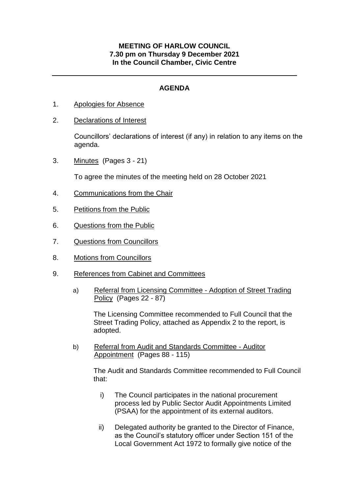## **MEETING OF HARLOW COUNCIL 7.30 pm on Thursday 9 December 2021 In the Council Chamber, Civic Centre**

## **AGENDA**

- 1. Apologies for Absence
- 2. Declarations of Interest

Councillors' declarations of interest (if any) in relation to any items on the agenda.

3. Minutes (Pages 3 - 21)

To agree the minutes of the meeting held on 28 October 2021

- 4. Communications from the Chair
- 5. Petitions from the Public
- 6. Questions from the Public
- 7. Questions from Councillors
- 8. Motions from Councillors
- 9. References from Cabinet and Committees
	- a) Referral from Licensing Committee Adoption of Street Trading Policy (Pages 22 - 87)

The Licensing Committee recommended to Full Council that the Street Trading Policy, attached as Appendix 2 to the report, is adopted.

b) Referral from Audit and Standards Committee - Auditor Appointment (Pages 88 - 115)

> The Audit and Standards Committee recommended to Full Council that:

- i) The Council participates in the national procurement process led by Public Sector Audit Appointments Limited (PSAA) for the appointment of its external auditors.
- ii) Delegated authority be granted to the Director of Finance, as the Council's statutory officer under Section 151 of the Local Government Act 1972 to formally give notice of the